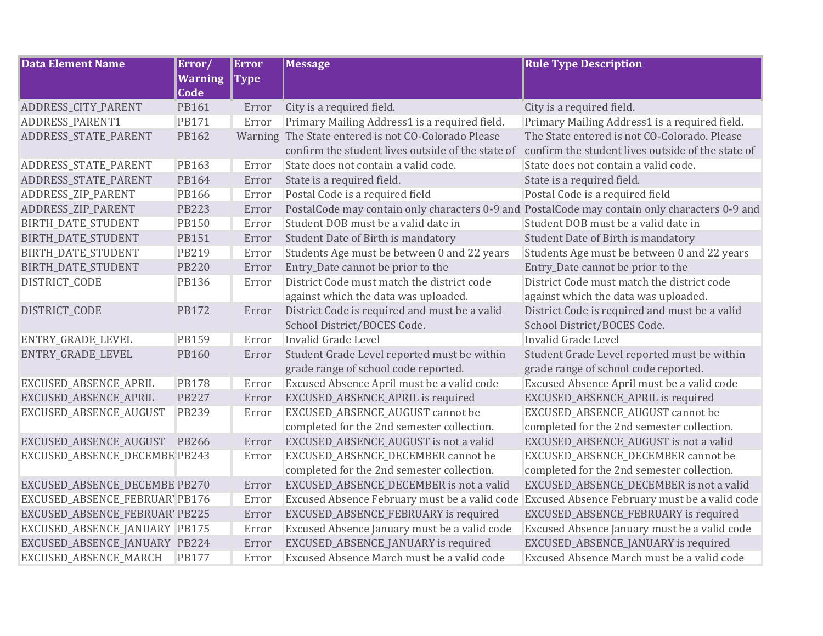| <b>Data Element Name</b>       | Error/         | <b>Error</b> | <b>Message</b>                                                                                | <b>Rule Type Description</b>                      |
|--------------------------------|----------------|--------------|-----------------------------------------------------------------------------------------------|---------------------------------------------------|
|                                | <b>Warning</b> | <b>Type</b>  |                                                                                               |                                                   |
|                                | Code           |              |                                                                                               |                                                   |
| ADDRESS_CITY_PARENT            | PB161          | Error        | City is a required field.                                                                     | City is a required field.                         |
| ADDRESS_PARENT1                | <b>PB171</b>   | Error        | Primary Mailing Address1 is a required field.                                                 | Primary Mailing Address1 is a required field.     |
| ADDRESS_STATE_PARENT           | PB162          | Warning      | The State entered is not CO-Colorado Please                                                   | The State entered is not CO-Colorado. Please      |
|                                |                |              | confirm the student lives outside of the state of                                             | confirm the student lives outside of the state of |
| ADDRESS_STATE_PARENT           | PB163          | Error        | State does not contain a valid code.                                                          | State does not contain a valid code.              |
| ADDRESS_STATE_PARENT           | PB164          | Error        | State is a required field.                                                                    | State is a required field.                        |
| ADDRESS_ZIP_PARENT             | PB166          | Error        | Postal Code is a required field                                                               | Postal Code is a required field                   |
| ADDRESS_ZIP_PARENT             | <b>PB223</b>   | Error        | PostalCode may contain only characters 0-9 and PostalCode may contain only characters 0-9 and |                                                   |
| BIRTH_DATE_STUDENT             | <b>PB150</b>   | Error        | Student DOB must be a valid date in                                                           | Student DOB must be a valid date in               |
| BIRTH_DATE_STUDENT             | PB151          | Error        | Student Date of Birth is mandatory                                                            | Student Date of Birth is mandatory                |
| BIRTH_DATE_STUDENT             | PB219          | Error        | Students Age must be between 0 and 22 years                                                   | Students Age must be between 0 and 22 years       |
| BIRTH_DATE_STUDENT             | <b>PB220</b>   | Error        | Entry_Date cannot be prior to the                                                             | Entry_Date cannot be prior to the                 |
| DISTRICT_CODE                  | PB136          | Error        | District Code must match the district code                                                    | District Code must match the district code        |
|                                |                |              | against which the data was uploaded.                                                          | against which the data was uploaded.              |
| DISTRICT_CODE                  | <b>PB172</b>   | Error        | District Code is required and must be a valid                                                 | District Code is required and must be a valid     |
|                                |                |              | School District/BOCES Code.                                                                   | School District/BOCES Code.                       |
| ENTRY_GRADE_LEVEL              | <b>PB159</b>   | Error        | Invalid Grade Level                                                                           | <b>Invalid Grade Level</b>                        |
| ENTRY_GRADE_LEVEL              | <b>PB160</b>   | Error        | Student Grade Level reported must be within                                                   | Student Grade Level reported must be within       |
|                                |                |              | grade range of school code reported.                                                          | grade range of school code reported.              |
| EXCUSED_ABSENCE_APRIL          | <b>PB178</b>   | Error        | Excused Absence April must be a valid code                                                    | Excused Absence April must be a valid code        |
| EXCUSED_ABSENCE_APRIL          | <b>PB227</b>   | Error        | EXCUSED_ABSENCE_APRIL is required                                                             | EXCUSED_ABSENCE_APRIL is required                 |
| EXCUSED_ABSENCE_AUGUST         | <b>PB239</b>   | Error        | EXCUSED_ABSENCE_AUGUST cannot be                                                              | EXCUSED_ABSENCE_AUGUST cannot be                  |
|                                |                |              | completed for the 2nd semester collection.                                                    | completed for the 2nd semester collection.        |
| EXCUSED_ABSENCE_AUGUST         | PB266          | Error        | EXCUSED_ABSENCE_AUGUST is not a valid                                                         | EXCUSED_ABSENCE_AUGUST is not a valid             |
| EXCUSED_ABSENCE_DECEMBE PB243  |                | Error        | EXCUSED_ABSENCE_DECEMBER cannot be                                                            | EXCUSED_ABSENCE_DECEMBER cannot be                |
|                                |                |              | completed for the 2nd semester collection.                                                    | completed for the 2nd semester collection.        |
| EXCUSED_ABSENCE_DECEMBE PB270  |                | Error        | EXCUSED_ABSENCE_DECEMBER is not a valid                                                       | EXCUSED_ABSENCE_DECEMBER is not a valid           |
| EXCUSED_ABSENCE_FEBRUAR' PB176 |                | Error        | Excused Absence February must be a valid code                                                 | Excused Absence February must be a valid code     |
| EXCUSED_ABSENCE_FEBRUAR' PB225 |                | Error        | EXCUSED_ABSENCE_FEBRUARY is required                                                          | EXCUSED_ABSENCE_FEBRUARY is required              |
| EXCUSED_ABSENCE_JANUARY PB175  |                | Error        | Excused Absence January must be a valid code                                                  | Excused Absence January must be a valid code      |
| EXCUSED_ABSENCE_JANUARY PB224  |                | Error        | EXCUSED_ABSENCE_JANUARY is required                                                           | EXCUSED_ABSENCE_JANUARY is required               |
| EXCUSED_ABSENCE_MARCH          | <b>PB177</b>   | Error        | Excused Absence March must be a valid code                                                    | Excused Absence March must be a valid code        |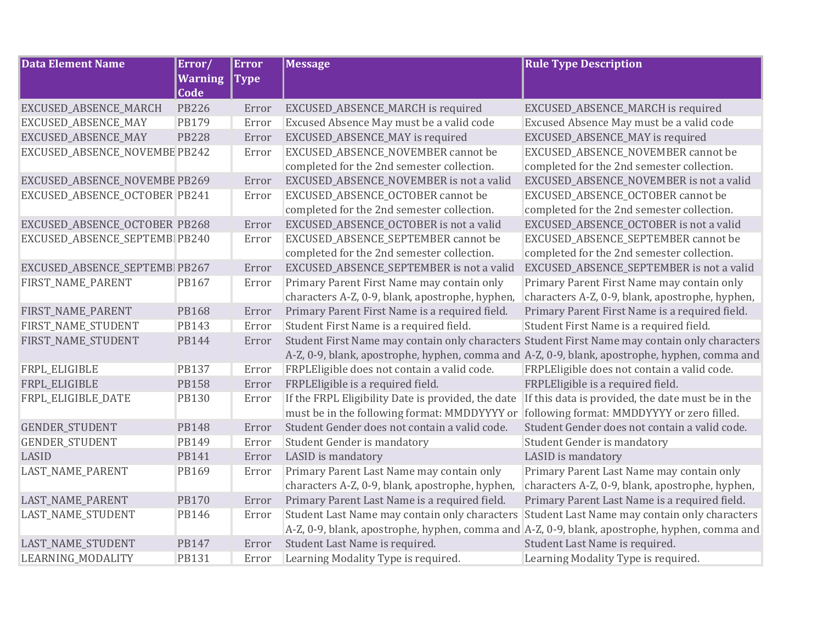| <b>Data Element Name</b>       | Error/         | <b>Error</b> | <b>Message</b>                                                                                | <b>Rule Type Description</b>                                                                  |
|--------------------------------|----------------|--------------|-----------------------------------------------------------------------------------------------|-----------------------------------------------------------------------------------------------|
|                                | <b>Warning</b> | <b>Type</b>  |                                                                                               |                                                                                               |
|                                | <b>Code</b>    |              |                                                                                               |                                                                                               |
| EXCUSED_ABSENCE_MARCH          | <b>PB226</b>   | Error        | EXCUSED_ABSENCE_MARCH is required                                                             | EXCUSED_ABSENCE_MARCH is required                                                             |
| EXCUSED_ABSENCE_MAY            | PB179          | Error        | Excused Absence May must be a valid code                                                      | Excused Absence May must be a valid code                                                      |
| EXCUSED_ABSENCE_MAY            | <b>PB228</b>   | Error        | EXCUSED_ABSENCE_MAY is required                                                               | EXCUSED_ABSENCE_MAY is required                                                               |
| EXCUSED_ABSENCE_NOVEMBE PB242  |                | Error        | EXCUSED_ABSENCE_NOVEMBER cannot be                                                            | EXCUSED_ABSENCE_NOVEMBER cannot be                                                            |
|                                |                |              | completed for the 2nd semester collection.                                                    | completed for the 2nd semester collection.                                                    |
| EXCUSED_ABSENCE_NOVEMBE PB269  |                | Error        | EXCUSED_ABSENCE_NOVEMBER is not a valid                                                       | EXCUSED_ABSENCE_NOVEMBER is not a valid                                                       |
| EXCUSED_ABSENCE_OCTOBER PB241  |                | Error        | EXCUSED_ABSENCE_OCTOBER cannot be                                                             | EXCUSED_ABSENCE_OCTOBER cannot be                                                             |
|                                |                |              | completed for the 2nd semester collection.                                                    | completed for the 2nd semester collection.                                                    |
| EXCUSED_ABSENCE_OCTOBER PB268  |                | Error        | EXCUSED_ABSENCE_OCTOBER is not a valid                                                        | EXCUSED_ABSENCE_OCTOBER is not a valid                                                        |
| EXCUSED_ABSENCE_SEPTEMB PB240  |                | Error        | EXCUSED_ABSENCE_SEPTEMBER cannot be                                                           | EXCUSED_ABSENCE_SEPTEMBER cannot be                                                           |
|                                |                |              | completed for the 2nd semester collection.                                                    | completed for the 2nd semester collection.                                                    |
| EXCUSED_ABSENCE_SEPTEMBI PB267 |                | Error        | EXCUSED_ABSENCE_SEPTEMBER is not a valid                                                      | EXCUSED_ABSENCE_SEPTEMBER is not a valid                                                      |
| FIRST_NAME_PARENT              | PB167          | Error        | Primary Parent First Name may contain only                                                    | Primary Parent First Name may contain only                                                    |
|                                |                |              | characters A-Z, 0-9, blank, apostrophe, hyphen,                                               | characters A-Z, 0-9, blank, apostrophe, hyphen,                                               |
| FIRST_NAME_PARENT              | <b>PB168</b>   | Error        | Primary Parent First Name is a required field.                                                | Primary Parent First Name is a required field.                                                |
| FIRST_NAME_STUDENT             | PB143          | Error        | Student First Name is a required field.                                                       | Student First Name is a required field.                                                       |
| FIRST_NAME_STUDENT             | <b>PB144</b>   | Error        |                                                                                               | Student First Name may contain only characters Student First Name may contain only characters |
|                                |                |              | A-Z, 0-9, blank, apostrophe, hyphen, comma and A-Z, 0-9, blank, apostrophe, hyphen, comma and |                                                                                               |
| FRPL_ELIGIBLE                  | <b>PB137</b>   | Error        | FRPLEligible does not contain a valid code.                                                   | FRPLEligible does not contain a valid code.                                                   |
| FRPL_ELIGIBLE                  | <b>PB158</b>   | Error        | FRPLEligible is a required field.                                                             | FRPLEligible is a required field.                                                             |
| FRPL_ELIGIBLE_DATE             | <b>PB130</b>   | Error        | If the FRPL Eligibility Date is provided, the date                                            | If this data is provided, the date must be in the                                             |
|                                |                |              | must be in the following format: MMDDYYYY or                                                  | following format: MMDDYYYY or zero filled.                                                    |
| <b>GENDER_STUDENT</b>          | <b>PB148</b>   | Error        | Student Gender does not contain a valid code.                                                 | Student Gender does not contain a valid code.                                                 |
| <b>GENDER_STUDENT</b>          | PB149          | Error        | <b>Student Gender is mandatory</b>                                                            | <b>Student Gender is mandatory</b>                                                            |
| LASID                          | PB141          | Error        | LASID is mandatory                                                                            | LASID is mandatory                                                                            |
| LAST_NAME_PARENT               | PB169          | Error        | Primary Parent Last Name may contain only                                                     | Primary Parent Last Name may contain only                                                     |
|                                |                |              | characters A-Z, 0-9, blank, apostrophe, hyphen,                                               | characters A-Z, 0-9, blank, apostrophe, hyphen,                                               |
| LAST_NAME_PARENT               | <b>PB170</b>   | Error        | Primary Parent Last Name is a required field.                                                 | Primary Parent Last Name is a required field.                                                 |
| LAST_NAME_STUDENT              | <b>PB146</b>   | Error        | Student Last Name may contain only characters                                                 | Student Last Name may contain only characters                                                 |
|                                |                |              | A-Z, 0-9, blank, apostrophe, hyphen, comma and A-Z, 0-9, blank, apostrophe, hyphen, comma and |                                                                                               |
| LAST_NAME_STUDENT              | <b>PB147</b>   | Error        | Student Last Name is required.                                                                | Student Last Name is required.                                                                |
| LEARNING_MODALITY              | <b>PB131</b>   | Error        | Learning Modality Type is required.                                                           | Learning Modality Type is required.                                                           |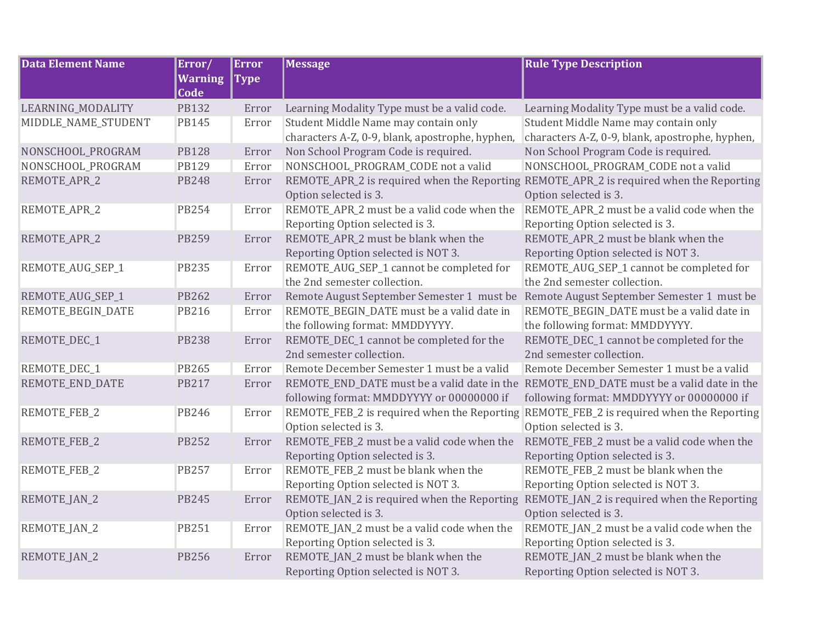| <b>Data Element Name</b> | Error/                 | <b>Error</b> | <b>Message</b>                                                                                                                       | <b>Rule Type Description</b>                                                                                     |
|--------------------------|------------------------|--------------|--------------------------------------------------------------------------------------------------------------------------------------|------------------------------------------------------------------------------------------------------------------|
|                          | <b>Warning</b><br>Code | <b>Type</b>  |                                                                                                                                      |                                                                                                                  |
| LEARNING_MODALITY        | <b>PB132</b>           | Error        | Learning Modality Type must be a valid code.                                                                                         | Learning Modality Type must be a valid code.                                                                     |
| MIDDLE_NAME_STUDENT      | <b>PB145</b>           | Error        | Student Middle Name may contain only                                                                                                 | Student Middle Name may contain only                                                                             |
|                          |                        |              | characters A-Z, 0-9, blank, apostrophe, hyphen,                                                                                      | characters A-Z, 0-9, blank, apostrophe, hyphen,                                                                  |
| NONSCHOOL_PROGRAM        | <b>PB128</b>           | Error        | Non School Program Code is required.                                                                                                 | Non School Program Code is required.                                                                             |
| NONSCHOOL_PROGRAM        | <b>PB129</b>           | Error        | NONSCHOOL_PROGRAM_CODE not a valid                                                                                                   | NONSCHOOL PROGRAM CODE not a valid                                                                               |
| REMOTE_APR_2             | <b>PB248</b>           | Error        | Option selected is 3.                                                                                                                | REMOTE_APR_2 is required when the Reporting REMOTE_APR_2 is required when the Reporting<br>Option selected is 3. |
| REMOTE_APR_2             | <b>PB254</b>           | Error        | REMOTE_APR_2 must be a valid code when the<br>Reporting Option selected is 3.                                                        | REMOTE_APR_2 must be a valid code when the<br>Reporting Option selected is 3.                                    |
| REMOTE_APR_2             | <b>PB259</b>           | Error        | REMOTE_APR_2 must be blank when the<br>Reporting Option selected is NOT 3.                                                           | REMOTE_APR_2 must be blank when the<br>Reporting Option selected is NOT 3.                                       |
| REMOTE_AUG_SEP_1         | <b>PB235</b>           | Error        | REMOTE_AUG_SEP_1 cannot be completed for<br>the 2nd semester collection.                                                             | REMOTE_AUG_SEP_1 cannot be completed for<br>the 2nd semester collection.                                         |
| REMOTE_AUG_SEP_1         | PB262                  | Error        | Remote August September Semester 1 must be                                                                                           | Remote August September Semester 1 must be                                                                       |
| REMOTE_BEGIN_DATE        | <b>PB216</b>           | Error        | REMOTE_BEGIN_DATE must be a valid date in                                                                                            | REMOTE_BEGIN_DATE must be a valid date in                                                                        |
|                          |                        |              | the following format: MMDDYYYY.                                                                                                      | the following format: MMDDYYYY.                                                                                  |
| REMOTE_DEC_1             | <b>PB238</b>           | Error        | REMOTE_DEC_1 cannot be completed for the                                                                                             | REMOTE_DEC_1 cannot be completed for the                                                                         |
|                          |                        |              | 2nd semester collection.                                                                                                             | 2nd semester collection.                                                                                         |
| REMOTE_DEC_1             | PB265                  | Error        | Remote December Semester 1 must be a valid                                                                                           | Remote December Semester 1 must be a valid                                                                       |
| REMOTE_END_DATE          | <b>PB217</b>           | Error        | REMOTE END DATE must be a valid date in the REMOTE END DATE must be a valid date in the<br>following format: MMDDYYYY or 00000000 if | following format: MMDDYYYY or 00000000 if                                                                        |
| REMOTE_FEB_2             | <b>PB246</b>           | Error        | REMOTE_FEB_2 is required when the Reporting REMOTE_FEB_2 is required when the Reporting                                              |                                                                                                                  |
|                          |                        |              | Option selected is 3.                                                                                                                | Option selected is 3.                                                                                            |
| REMOTE_FEB_2             | <b>PB252</b>           | Error        | REMOTE_FEB_2 must be a valid code when the                                                                                           | REMOTE_FEB_2 must be a valid code when the                                                                       |
|                          |                        |              | Reporting Option selected is 3.                                                                                                      | Reporting Option selected is 3.                                                                                  |
| REMOTE_FEB_2             | <b>PB257</b>           | Error        | REMOTE_FEB_2 must be blank when the                                                                                                  | REMOTE_FEB_2 must be blank when the                                                                              |
|                          |                        |              | Reporting Option selected is NOT 3.                                                                                                  | Reporting Option selected is NOT 3.                                                                              |
| REMOTE_JAN_2             | <b>PB245</b>           | Error        | REMOTE_JAN_2 is required when the Reporting<br>Option selected is 3.                                                                 | REMOTE_JAN_2 is required when the Reporting<br>Option selected is 3.                                             |
| REMOTE_JAN_2             | <b>PB251</b>           | Error        | REMOTE_JAN_2 must be a valid code when the                                                                                           | REMOTE_JAN_2 must be a valid code when the                                                                       |
|                          |                        |              | Reporting Option selected is 3.                                                                                                      | Reporting Option selected is 3.                                                                                  |
| REMOTE_JAN_2             | <b>PB256</b>           | Error        | REMOTE_JAN_2 must be blank when the                                                                                                  | REMOTE_JAN_2 must be blank when the                                                                              |
|                          |                        |              | Reporting Option selected is NOT 3.                                                                                                  | Reporting Option selected is NOT 3.                                                                              |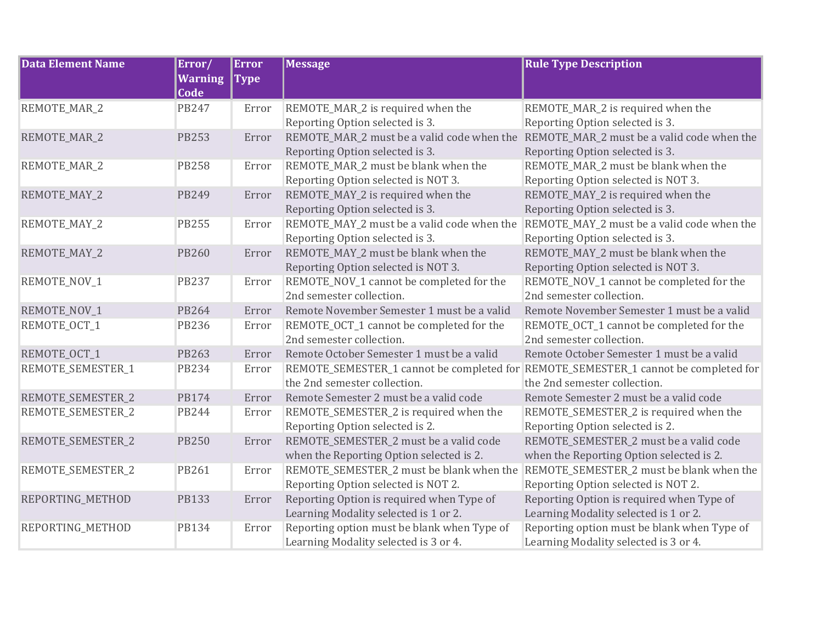| <b>Data Element Name</b> | Error/<br><b>Warning</b> | <b>Error</b><br><b>Type</b> | <b>Message</b>                              | <b>Rule Type Description</b>                                                        |
|--------------------------|--------------------------|-----------------------------|---------------------------------------------|-------------------------------------------------------------------------------------|
|                          | Code                     |                             |                                             |                                                                                     |
| REMOTE_MAR_2             | <b>PB247</b>             | Error                       | REMOTE_MAR_2 is required when the           | REMOTE_MAR_2 is required when the                                                   |
|                          |                          |                             | Reporting Option selected is 3.             | Reporting Option selected is 3.                                                     |
| REMOTE_MAR_2             | <b>PB253</b>             | Error                       | REMOTE_MAR_2 must be a valid code when the  | REMOTE_MAR_2 must be a valid code when the                                          |
|                          |                          |                             | Reporting Option selected is 3.             | Reporting Option selected is 3.                                                     |
| REMOTE_MAR_2             | <b>PB258</b>             | Error                       | REMOTE_MAR_2 must be blank when the         | REMOTE_MAR_2 must be blank when the                                                 |
|                          |                          |                             | Reporting Option selected is NOT 3.         | Reporting Option selected is NOT 3.                                                 |
| REMOTE_MAY_2             | <b>PB249</b>             | Error                       | REMOTE_MAY_2 is required when the           | REMOTE_MAY_2 is required when the                                                   |
|                          |                          |                             | Reporting Option selected is 3.             | Reporting Option selected is 3.                                                     |
| REMOTE_MAY_2             | <b>PB255</b>             | Error                       | REMOTE_MAY_2 must be a valid code when the  | REMOTE_MAY_2 must be a valid code when the                                          |
|                          |                          |                             | Reporting Option selected is 3.             | Reporting Option selected is 3.                                                     |
| REMOTE_MAY_2             | <b>PB260</b>             | Error                       | REMOTE_MAY_2 must be blank when the         | REMOTE_MAY_2 must be blank when the                                                 |
|                          |                          |                             | Reporting Option selected is NOT 3.         | Reporting Option selected is NOT 3.                                                 |
| REMOTE_NOV_1             | <b>PB237</b>             | Error                       | REMOTE_NOV_1 cannot be completed for the    | REMOTE_NOV_1 cannot be completed for the                                            |
|                          |                          |                             | 2nd semester collection.                    | 2nd semester collection.                                                            |
| REMOTE_NOV_1             | <b>PB264</b>             | Error                       | Remote November Semester 1 must be a valid  | Remote November Semester 1 must be a valid                                          |
| REMOTE_OCT_1             | <b>PB236</b>             | Error                       | REMOTE_OCT_1 cannot be completed for the    | REMOTE_OCT_1 cannot be completed for the                                            |
|                          |                          |                             | 2nd semester collection.                    | 2nd semester collection.                                                            |
| REMOTE_OCT_1             | <b>PB263</b>             | Error                       | Remote October Semester 1 must be a valid   | Remote October Semester 1 must be a valid                                           |
| REMOTE_SEMESTER_1        | <b>PB234</b>             | Error                       |                                             | REMOTE_SEMESTER_1 cannot be completed for REMOTE_SEMESTER_1 cannot be completed for |
|                          |                          |                             | the 2nd semester collection.                | the 2nd semester collection.                                                        |
| REMOTE_SEMESTER_2        | <b>PB174</b>             | Error                       | Remote Semester 2 must be a valid code      | Remote Semester 2 must be a valid code                                              |
| REMOTE_SEMESTER_2        | <b>PB244</b>             | Error                       | REMOTE_SEMESTER_2 is required when the      | REMOTE_SEMESTER_2 is required when the                                              |
|                          |                          |                             | Reporting Option selected is 2.             | Reporting Option selected is 2.                                                     |
| REMOTE_SEMESTER_2        | <b>PB250</b>             | Error                       | REMOTE_SEMESTER_2 must be a valid code      | REMOTE_SEMESTER_2 must be a valid code                                              |
|                          |                          |                             | when the Reporting Option selected is 2.    | when the Reporting Option selected is 2.                                            |
| REMOTE_SEMESTER_2        | PB261                    | Error                       | REMOTE_SEMESTER_2 must be blank when the    | REMOTE_SEMESTER_2 must be blank when the                                            |
|                          |                          |                             | Reporting Option selected is NOT 2.         | Reporting Option selected is NOT 2.                                                 |
| REPORTING_METHOD         | <b>PB133</b>             | Error                       | Reporting Option is required when Type of   | Reporting Option is required when Type of                                           |
|                          |                          |                             | Learning Modality selected is 1 or 2.       | Learning Modality selected is 1 or 2.                                               |
| REPORTING_METHOD         | <b>PB134</b>             | Error                       | Reporting option must be blank when Type of | Reporting option must be blank when Type of                                         |
|                          |                          |                             | Learning Modality selected is 3 or 4.       | Learning Modality selected is 3 or 4.                                               |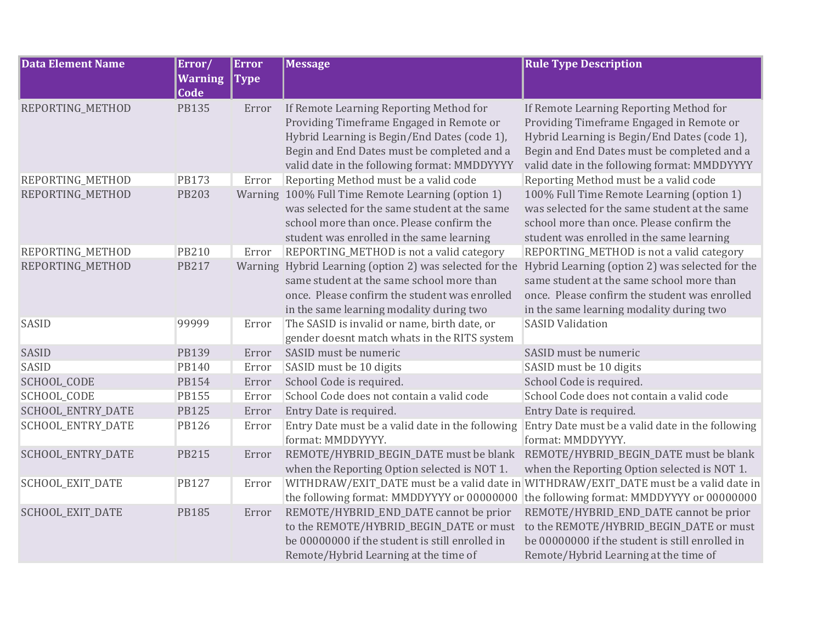| <b>Data Element Name</b> | Error/               | <b>Error</b> | <b>Message</b>                                                                                                                                                                                                                     | <b>Rule Type Description</b>                                                                                                                                                                                                       |
|--------------------------|----------------------|--------------|------------------------------------------------------------------------------------------------------------------------------------------------------------------------------------------------------------------------------------|------------------------------------------------------------------------------------------------------------------------------------------------------------------------------------------------------------------------------------|
|                          | <b>Warning</b>       | <b>Type</b>  |                                                                                                                                                                                                                                    |                                                                                                                                                                                                                                    |
| REPORTING_METHOD         | Code<br><b>PB135</b> | Error        | If Remote Learning Reporting Method for<br>Providing Timeframe Engaged in Remote or<br>Hybrid Learning is Begin/End Dates (code 1),<br>Begin and End Dates must be completed and a<br>valid date in the following format: MMDDYYYY | If Remote Learning Reporting Method for<br>Providing Timeframe Engaged in Remote or<br>Hybrid Learning is Begin/End Dates (code 1),<br>Begin and End Dates must be completed and a<br>valid date in the following format: MMDDYYYY |
| REPORTING_METHOD         | <b>PB173</b>         | Error        | Reporting Method must be a valid code                                                                                                                                                                                              | Reporting Method must be a valid code                                                                                                                                                                                              |
| REPORTING_METHOD         | <b>PB203</b>         |              | Warning 100% Full Time Remote Learning (option 1)<br>was selected for the same student at the same<br>school more than once. Please confirm the<br>student was enrolled in the same learning                                       | 100% Full Time Remote Learning (option 1)<br>was selected for the same student at the same<br>school more than once. Please confirm the<br>student was enrolled in the same learning                                               |
| REPORTING_METHOD         | <b>PB210</b>         | Error        | REPORTING_METHOD is not a valid category                                                                                                                                                                                           | REPORTING_METHOD is not a valid category                                                                                                                                                                                           |
| REPORTING_METHOD         | <b>PB217</b>         |              | Warning Hybrid Learning (option 2) was selected for the<br>same student at the same school more than<br>once. Please confirm the student was enrolled<br>in the same learning modality during two                                  | Hybrid Learning (option 2) was selected for the<br>same student at the same school more than<br>once. Please confirm the student was enrolled<br>in the same learning modality during two                                          |
| <b>SASID</b>             | 99999                | Error        | The SASID is invalid or name, birth date, or<br>gender doesnt match whats in the RITS system                                                                                                                                       | <b>SASID Validation</b>                                                                                                                                                                                                            |
| <b>SASID</b>             | PB139                | Error        | SASID must be numeric                                                                                                                                                                                                              | SASID must be numeric                                                                                                                                                                                                              |
| <b>SASID</b>             | <b>PB140</b>         | Error        | SASID must be 10 digits                                                                                                                                                                                                            | SASID must be 10 digits                                                                                                                                                                                                            |
| SCHOOL_CODE              | <b>PB154</b>         | Error        | School Code is required.                                                                                                                                                                                                           | School Code is required.                                                                                                                                                                                                           |
| SCHOOL_CODE              | <b>PB155</b>         | Error        | School Code does not contain a valid code                                                                                                                                                                                          | School Code does not contain a valid code                                                                                                                                                                                          |
| SCHOOL_ENTRY_DATE        | <b>PB125</b>         | Error        | Entry Date is required.                                                                                                                                                                                                            | Entry Date is required.                                                                                                                                                                                                            |
| SCHOOL_ENTRY_DATE        | <b>PB126</b>         | Error        | Entry Date must be a valid date in the following<br>format: MMDDYYYY.                                                                                                                                                              | Entry Date must be a valid date in the following<br>format: MMDDYYYY.                                                                                                                                                              |
| SCHOOL_ENTRY_DATE        | <b>PB215</b>         | Error        | REMOTE/HYBRID_BEGIN_DATE must be blank<br>when the Reporting Option selected is NOT 1.                                                                                                                                             | REMOTE/HYBRID_BEGIN_DATE must be blank<br>when the Reporting Option selected is NOT 1.                                                                                                                                             |
| SCHOOL_EXIT_DATE         | <b>PB127</b>         | Error        | the following format: MMDDYYYY or 00000000                                                                                                                                                                                         | WITHDRAW/EXIT_DATE must be a valid date in WITHDRAW/EXIT_DATE must be a valid date in<br>the following format: MMDDYYYY or 00000000                                                                                                |
| SCHOOL_EXIT_DATE         | <b>PB185</b>         | Error        | REMOTE/HYBRID_END_DATE cannot be prior<br>to the REMOTE/HYBRID_BEGIN_DATE or must<br>be 00000000 if the student is still enrolled in<br>Remote/Hybrid Learning at the time of                                                      | REMOTE/HYBRID_END_DATE cannot be prior<br>to the REMOTE/HYBRID_BEGIN_DATE or must<br>be 00000000 if the student is still enrolled in<br>Remote/Hybrid Learning at the time of                                                      |